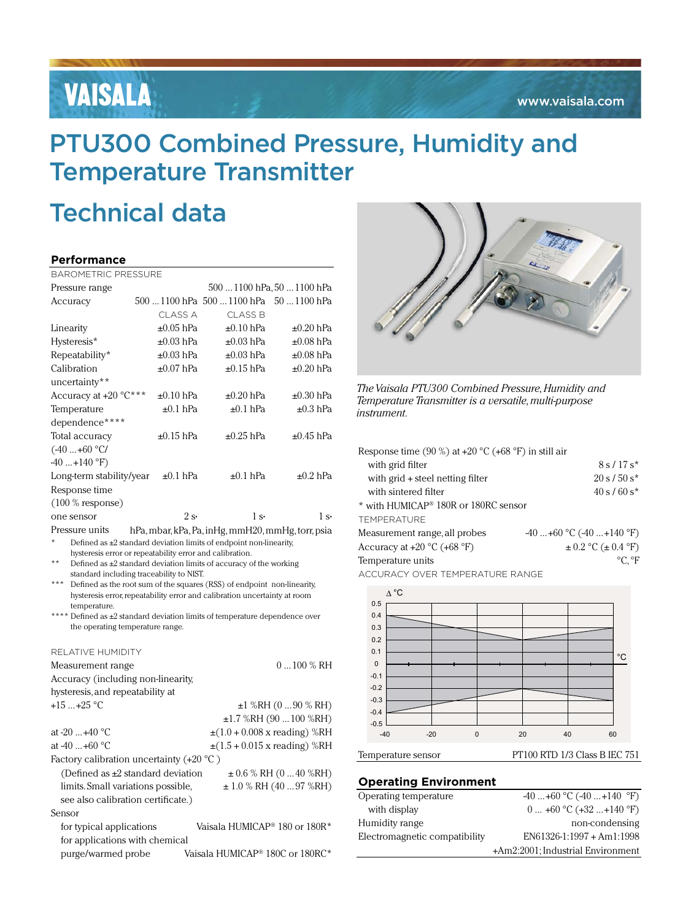# VAISALA

## PTU300 Combined Pressure, Humidity and Temperature Transmitter

# Technical data

### **Performance**

| <b>BAROMETRIC PRESSURE</b>                                              |  |                |                                       |                             |
|-------------------------------------------------------------------------|--|----------------|---------------------------------------|-----------------------------|
| Pressure range                                                          |  |                |                                       | 500  1100 hPa, 50  1100 hPa |
| Accuracy                                                                |  |                | 500 1100 hPa 500 1100 hPa 50 1100 hPa |                             |
|                                                                         |  | CI ASS A       | CLASS <sub>B</sub>                    |                             |
| Linearity                                                               |  | $\pm 0.05$ hPa | $\pm 0.10$ hPa                        | $\pm 0.20$ hPa              |
| Hysteresis*                                                             |  | $\pm 0.03$ hPa | $\pm 0.03$ hPa                        | $\pm 0.08$ hPa              |
| Repeatability*                                                          |  | $\pm 0.03$ hPa | $\pm 0.03$ hPa                        | $\pm 0.08$ hPa              |
| Calibration                                                             |  | $\pm 0.07$ hPa | $\pm 0.15$ hPa                        | $\pm 0.20$ hPa              |
| uncertainty**                                                           |  |                |                                       |                             |
| Accuracy at $+20$ °C***                                                 |  | $\pm 0.10$ hPa | $\pm 0.20$ hPa                        | $\pm 0.30$ hPa              |
| Temperature                                                             |  | $\pm 0.1$ hPa  | $\pm 0.1$ hPa                         | $\pm 0.3$ hPa               |
| dependence****                                                          |  |                |                                       |                             |
| Total accuracy                                                          |  | $\pm 0.15$ hPa | $\pm 0.25$ hPa                        | $\pm 0.45$ hPa              |
| $(-40+60 °C)$                                                           |  |                |                                       |                             |
| $-40+140$ °F)                                                           |  |                |                                       |                             |
| Long-term stability/year                                                |  | $\pm 0.1$ hPa  | $\pm 0.1$ hPa                         | $\pm 0.2$ hPa               |
| Response time                                                           |  |                |                                       |                             |
| $(100 %$ response)                                                      |  |                |                                       |                             |
| one sensor                                                              |  | 2s             | 1s                                    | 1s                          |
| Pressure units<br>hPa, mbar, kPa, Pa, inHg, mmH20, mmHg, torr, psia     |  |                |                                       |                             |
| Defined as $\pm 2$ standard deviation limits of endpoint non-linearity, |  |                |                                       |                             |
| hysteresis error or repeatability error and calibration.                |  |                |                                       |                             |

\*\* Defined as ±2 standard deviation limits of accuracy of the working standard including traceability to NIST.

Defined as the root sum of the squares (RSS) of endpoint non-linearity, hysteresis error, repeatability error and calibration uncertainty at room temperature.

\*\*\*\* Defined as  $\pm 2$  standard deviation limits of temperature dependence over the operating temperature range.

| RELATIVE HUMIDITY                                |                                                       |
|--------------------------------------------------|-------------------------------------------------------|
| Measurement range                                | $0100\%$ RH                                           |
| Accuracy (including non-linearity,               |                                                       |
| hysteresis, and repeatability at                 |                                                       |
| $+15$ $+25$ °C                                   | $±1$ %RH (0  90 % RH)                                 |
|                                                  | $\pm 1.7$ %RH (90  100 %RH)                           |
| at $-20+40$ °C                                   | $\pm(1.0 + 0.008 \text{ x reading})$ %RH              |
| at $-40+60$ °C                                   | $\pm(1.5 + 0.015 \times \text{reading})$ %RH          |
| Factory calibration uncertainty $(+20\degree C)$ |                                                       |
| (Defined as $\pm 2$ standard deviation           | $\pm 0.6$ % RH (0 40 %RH)                             |
| limits. Small variations possible,               | $\pm$ 1.0 % RH (40  97 %RH)                           |
| see also calibration certificate.)               |                                                       |
| Sensor                                           |                                                       |
| for typical applications                         | Vaisala HUMICAP <sup>®</sup> 180 or 180R <sup>*</sup> |
| for applications with chemical                   |                                                       |
| purge/warmed probe                               | Vaisala HUMICAP® 180C or 180RC*                       |



*The Vaisala PTU300 Combined Pressure, Humidity and Temperature Transmitter is a versatile, multi-purpose instrument.*

| Response time (90 %) at $+20$ °C (+68 °F) in still air |                              |
|--------------------------------------------------------|------------------------------|
| with grid filter                                       | $8s/17s*$                    |
| with $grid + steel$ netting filter                     | $20 s / 50 s^*$              |
| with sintered filter                                   | $40 s / 60 s^*$              |
| * with HUMICAP <sup>®</sup> 180R or 180RC sensor       |                              |
| <b>TFMPERATURE</b>                                     |                              |
| Measurement range, all probes                          | $-40+60$ °C $(-40+140$ °F)   |
| Accuracy at $+20$ °C ( $+68$ °F)                       | $\pm 0.2$ °C ( $\pm 0.4$ °F) |

Temperature units  ${}^{\circ}C, {}^{\circ}F$ 

Accuracy over temperature range



### **Operating Environment**

| Operating temperature         | $-40+60$ °C $(-40+140$ °F)        |
|-------------------------------|-----------------------------------|
| with display                  | $0+60$ °C (+32 +140 °F)           |
| Humidity range                | non-condensing                    |
| Electromagnetic compatibility | $EN61326-1:1997 + Am1:1998$       |
|                               | +Am2:2001; Industrial Environment |
|                               |                                   |